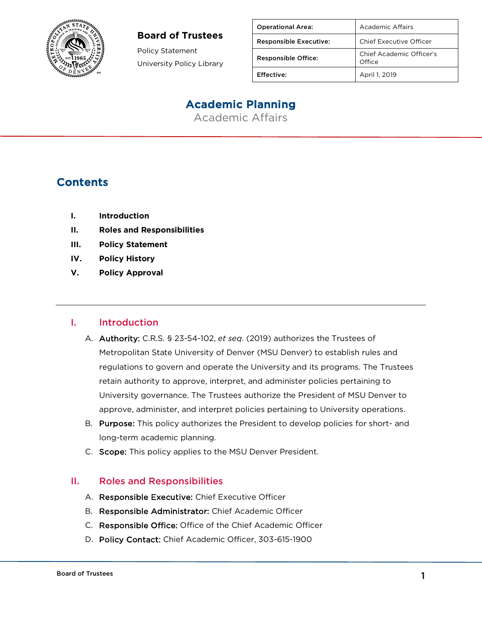

#### **Board of Trustees**

Policy Statement University Policy Library

| <b>Operational Area:</b>      | Academic Affairs                   |
|-------------------------------|------------------------------------|
| <b>Responsible Executive:</b> | Chief Executive Officer            |
| <b>Responsible Office:</b>    | Chief Academic Officer's<br>Office |
| Effective:                    | April 1, 2019                      |

# Academic Planning

Academic Affairs

## **Contents**

- **I. Introduction**
- **II. Roles and Responsibilities**
- **III. Policy Statement**
- **IV. Policy History**
- **V. Policy Approval**

#### I. Introduction

- A. Authority: C.R.S. § 23-54-102, *et seq*. (2019) authorizes the Trustees of Metropolitan State University of Denver (MSU Denver) to establish rules and regulations to govern and operate the University and its programs. The Trustees retain authority to approve, interpret, and administer policies pertaining to University governance. The Trustees authorize the President of MSU Denver to approve, administer, and interpret policies pertaining to University operations.
- B. Purpose: This policy authorizes the President to develop policies for short- and long-term academic planning.
- C. Scope: This policy applies to the MSU Denver President.

#### II. Roles and Responsibilities

- A. Responsible Executive: Chief Executive Officer
- B. Responsible Administrator: Chief Academic Officer
- C. Responsible Office: Office of the Chief Academic Officer
- D. Policy Contact: Chief Academic Officer, 303-615-1900